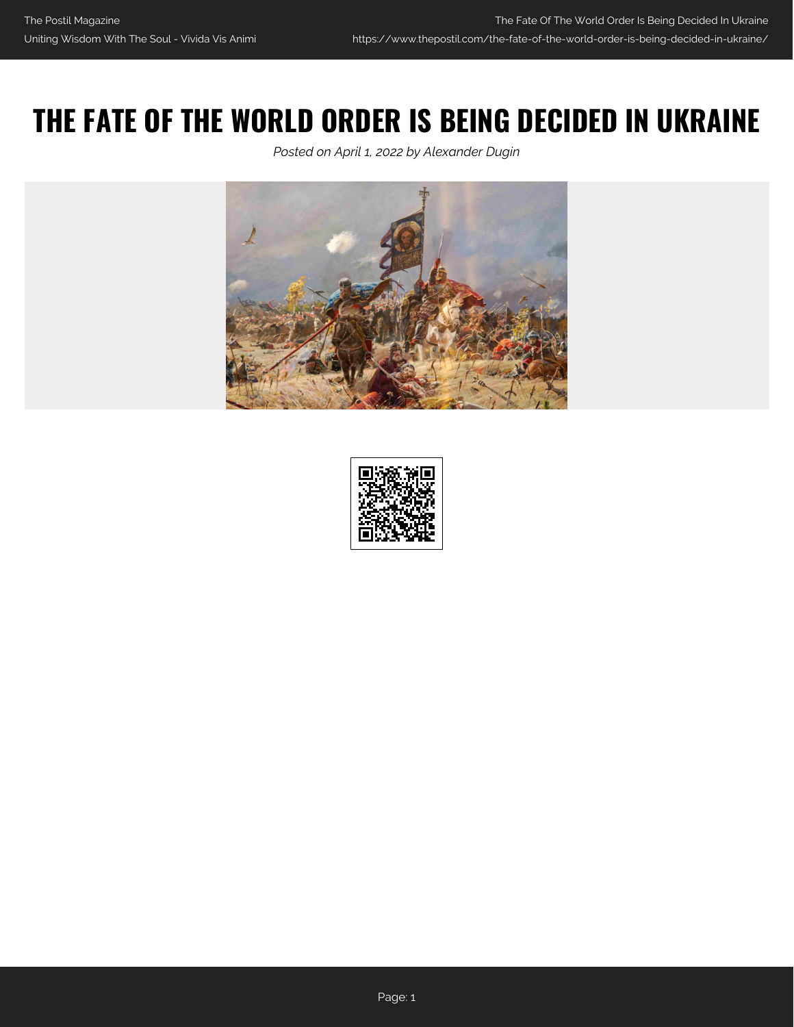## **THE FATE OF THE WORLD ORDER IS BEING DECIDED IN UKRAINE**

*Posted on April 1, 2022 by Alexander Dugin*



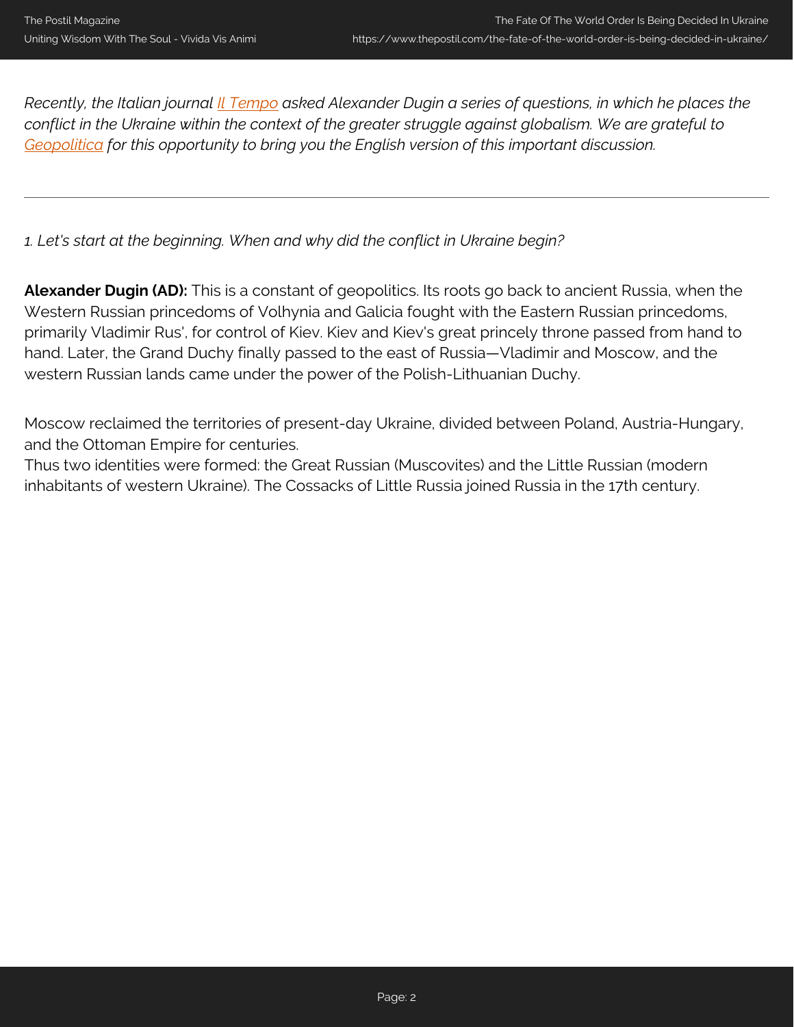*Recently, the Italian journal [Il Tempo](https://www.iltempo.it/esteri/2022/03/29/news/aleksandr-dugin-svela-verita-guerra-vladimir-putin-russia-ucraina-contro-occidente-satanico-31022977/) asked Alexander Dugin a series of questions, in which he places the conflict in the Ukraine within the context of the greater struggle against globalism. We are grateful to [Geopolitica](https://www.geopolitica.ru/article/seychas-na-ukraine-reshaetsya-sudba-miroporyadka) for this opportunity to bring you the English version of this important discussion.*

*1. Let's start at the beginning. When and why did the conflict in Ukraine begin?*

**Alexander Dugin (AD):** This is a constant of geopolitics. Its roots go back to ancient Russia, when the Western Russian princedoms of Volhynia and Galicia fought with the Eastern Russian princedoms, primarily Vladimir Rus', for control of Kiev. Kiev and Kiev's great princely throne passed from hand to hand. Later, the Grand Duchy finally passed to the east of Russia—Vladimir and Moscow, and the western Russian lands came under the power of the Polish-Lithuanian Duchy.

Moscow reclaimed the territories of present-day Ukraine, divided between Poland, Austria-Hungary, and the Ottoman Empire for centuries.

Thus two identities were formed: the Great Russian (Muscovites) and the Little Russian (modern inhabitants of western Ukraine). The Cossacks of Little Russia joined Russia in the 17th century.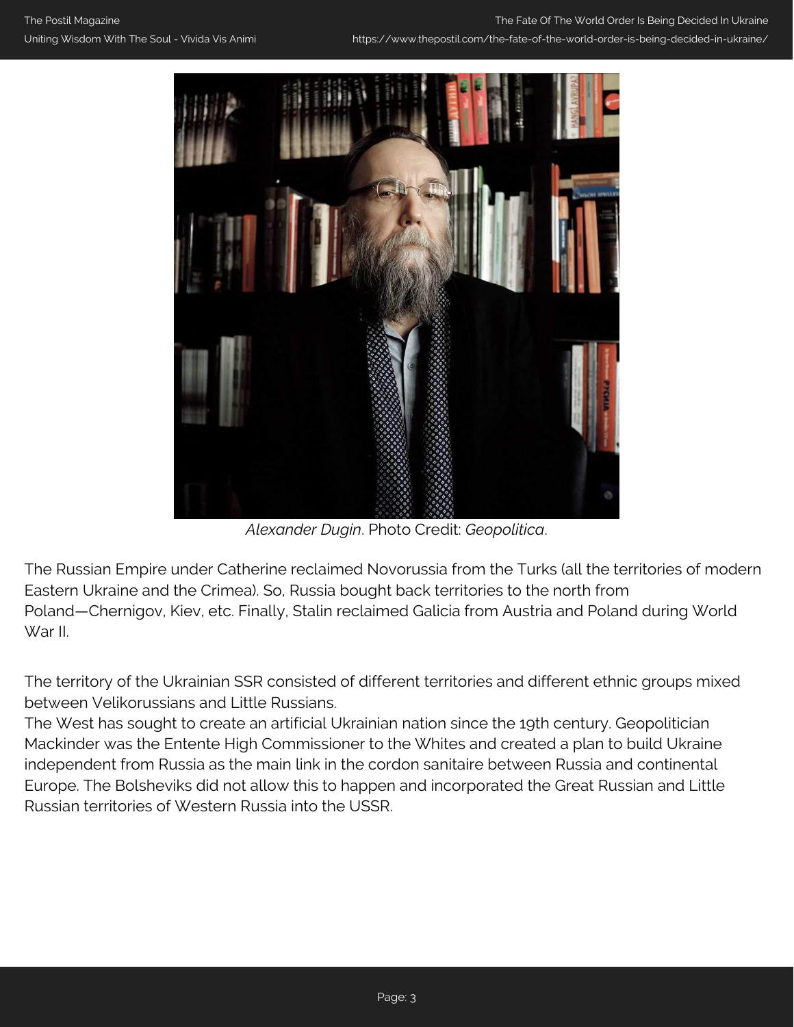

*Alexander Dugin*. Photo Credit: *Geopolitica*.

The Russian Empire under Catherine reclaimed Novorussia from the Turks (all the territories of modern Eastern Ukraine and the Crimea). So, Russia bought back territories to the north from Poland—Chernigov, Kiev, etc. Finally, Stalin reclaimed Galicia from Austria and Poland during World War II.

The territory of the Ukrainian SSR consisted of different territories and different ethnic groups mixed between Velikorussians and Little Russians.

The West has sought to create an artificial Ukrainian nation since the 19th century. Geopolitician Mackinder was the Entente High Commissioner to the Whites and created a plan to build Ukraine independent from Russia as the main link in the cordon sanitaire between Russia and continental Europe. The Bolsheviks did not allow this to happen and incorporated the Great Russian and Little Russian territories of Western Russia into the USSR.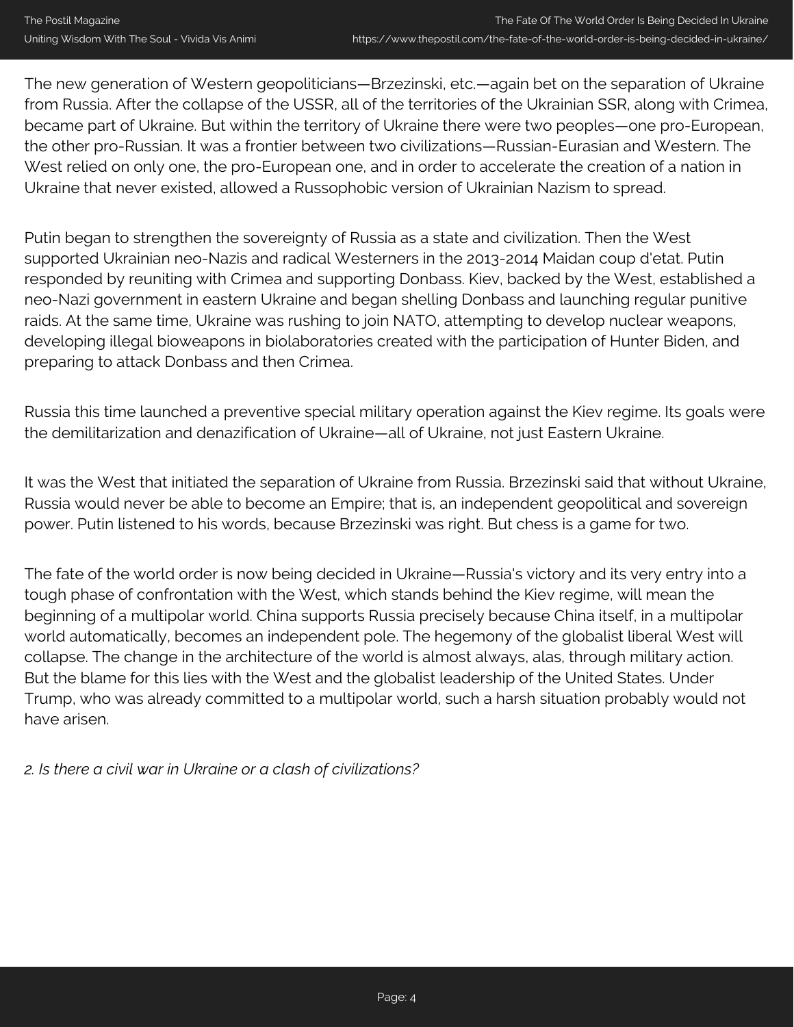The new generation of Western geopoliticians—Brzezinski, etc.—again bet on the separation of Ukraine from Russia. After the collapse of the USSR, all of the territories of the Ukrainian SSR, along with Crimea, became part of Ukraine. But within the territory of Ukraine there were two peoples—one pro-European, the other pro-Russian. It was a frontier between two civilizations—Russian-Eurasian and Western. The West relied on only one, the pro-European one, and in order to accelerate the creation of a nation in Ukraine that never existed, allowed a Russophobic version of Ukrainian Nazism to spread.

Putin began to strengthen the sovereignty of Russia as a state and civilization. Then the West supported Ukrainian neo-Nazis and radical Westerners in the 2013-2014 Maidan coup d'etat. Putin responded by reuniting with Crimea and supporting Donbass. Kiev, backed by the West, established a neo-Nazi government in eastern Ukraine and began shelling Donbass and launching regular punitive raids. At the same time, Ukraine was rushing to join NATO, attempting to develop nuclear weapons, developing illegal bioweapons in biolaboratories created with the participation of Hunter Biden, and preparing to attack Donbass and then Crimea.

Russia this time launched a preventive special military operation against the Kiev regime. Its goals were the demilitarization and denazification of Ukraine—all of Ukraine, not just Eastern Ukraine.

It was the West that initiated the separation of Ukraine from Russia. Brzezinski said that without Ukraine, Russia would never be able to become an Empire; that is, an independent geopolitical and sovereign power. Putin listened to his words, because Brzezinski was right. But chess is a game for two.

The fate of the world order is now being decided in Ukraine—Russia's victory and its very entry into a tough phase of confrontation with the West, which stands behind the Kiev regime, will mean the beginning of a multipolar world. China supports Russia precisely because China itself, in a multipolar world automatically, becomes an independent pole. The hegemony of the globalist liberal West will collapse. The change in the architecture of the world is almost always, alas, through military action. But the blame for this lies with the West and the globalist leadership of the United States. Under Trump, who was already committed to a multipolar world, such a harsh situation probably would not have arisen.

*2. Is there a civil war in Ukraine or a clash of civilizations?*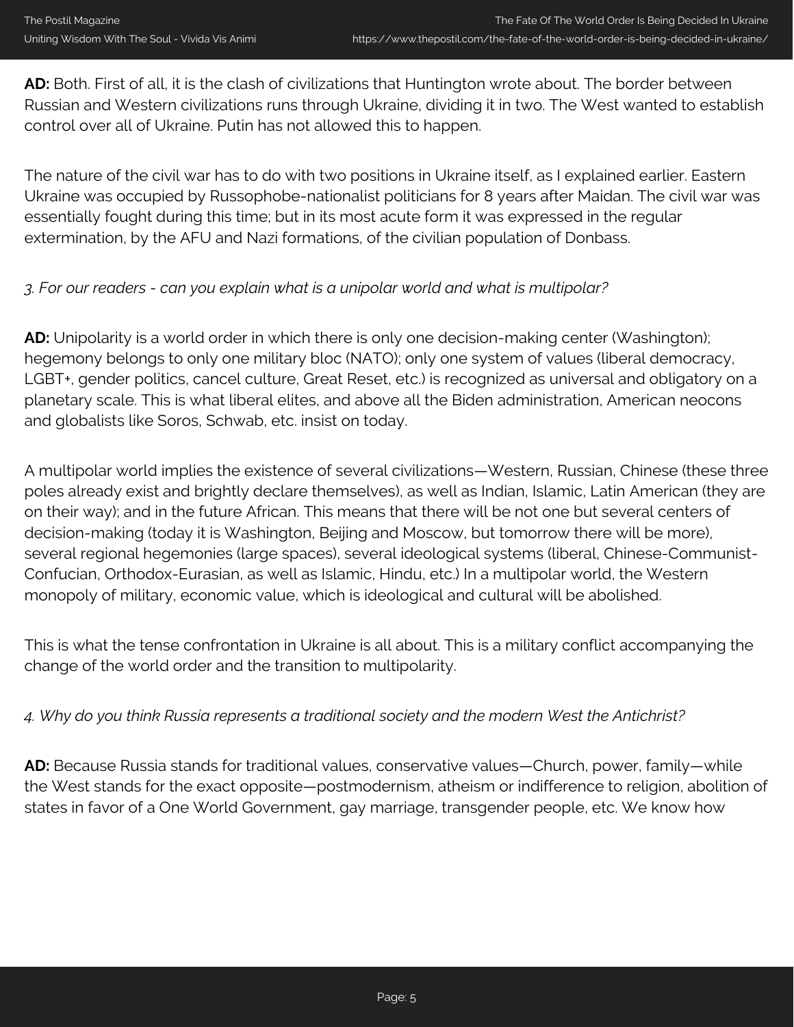**AD:** Both. First of all, it is the clash of civilizations that Huntington wrote about. The border between Russian and Western civilizations runs through Ukraine, dividing it in two. The West wanted to establish control over all of Ukraine. Putin has not allowed this to happen.

The nature of the civil war has to do with two positions in Ukraine itself, as I explained earlier. Eastern Ukraine was occupied by Russophobe-nationalist politicians for 8 years after Maidan. The civil war was essentially fought during this time; but in its most acute form it was expressed in the regular extermination, by the AFU and Nazi formations, of the civilian population of Donbass.

## *3. For our readers - can you explain what is a unipolar world and what is multipolar?*

**AD:** Unipolarity is a world order in which there is only one decision-making center (Washington); hegemony belongs to only one military bloc (NATO); only one system of values (liberal democracy, LGBT+, gender politics, cancel culture, Great Reset, etc.) is recognized as universal and obligatory on a planetary scale. This is what liberal elites, and above all the Biden administration, American neocons and globalists like Soros, Schwab, etc. insist on today.

A multipolar world implies the existence of several civilizations—Western, Russian, Chinese (these three poles already exist and brightly declare themselves), as well as Indian, Islamic, Latin American (they are on their way); and in the future African. This means that there will be not one but several centers of decision-making (today it is Washington, Beijing and Moscow, but tomorrow there will be more), several regional hegemonies (large spaces), several ideological systems (liberal, Chinese-Communist-Confucian, Orthodox-Eurasian, as well as Islamic, Hindu, etc.) In a multipolar world, the Western monopoly of military, economic value, which is ideological and cultural will be abolished.

This is what the tense confrontation in Ukraine is all about. This is a military conflict accompanying the change of the world order and the transition to multipolarity.

## *4. Why do you think Russia represents a traditional society and the modern West the Antichrist?*

**AD:** Because Russia stands for traditional values, conservative values—Church, power, family—while the West stands for the exact opposite—postmodernism, atheism or indifference to religion, abolition of states in favor of a One World Government, gay marriage, transgender people, etc. We know how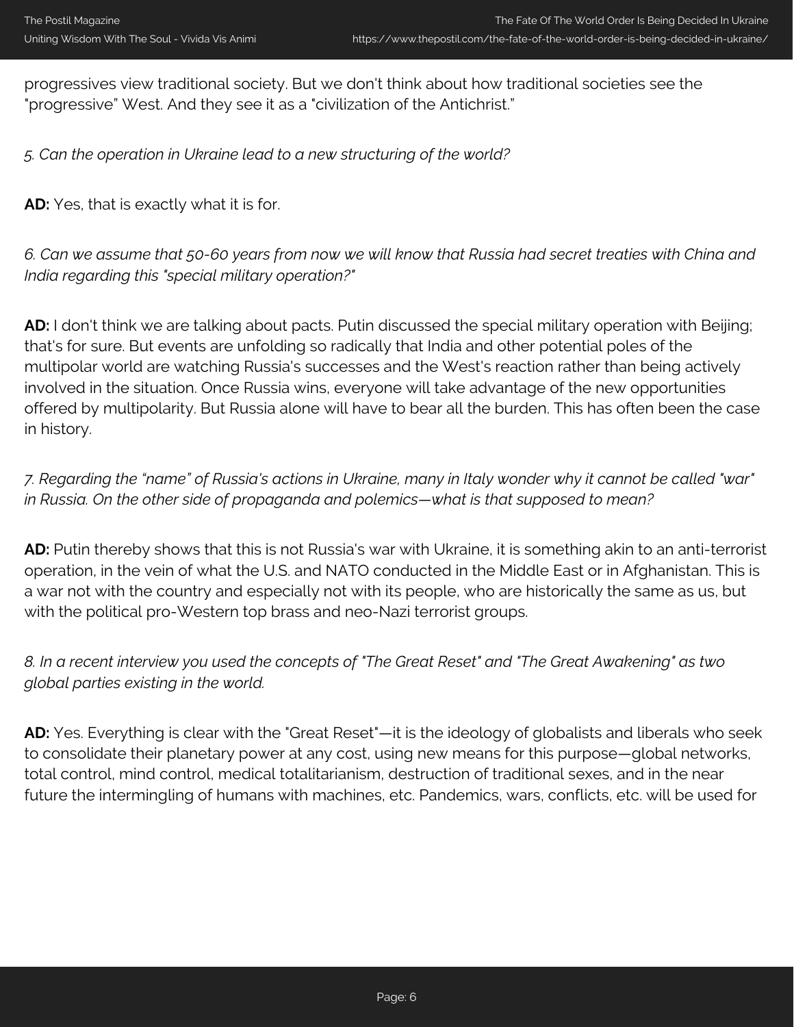progressives view traditional society. But we don't think about how traditional societies see the "progressive" West. And they see it as a "civilization of the Antichrist."

*5. Can the operation in Ukraine lead to a new structuring of the world?*

**AD:** Yes, that is exactly what it is for.

*6. Can we assume that 50-60 years from now we will know that Russia had secret treaties with China and India regarding this "special military operation?"*

**AD:** I don't think we are talking about pacts. Putin discussed the special military operation with Beijing; that's for sure. But events are unfolding so radically that India and other potential poles of the multipolar world are watching Russia's successes and the West's reaction rather than being actively involved in the situation. Once Russia wins, everyone will take advantage of the new opportunities offered by multipolarity. But Russia alone will have to bear all the burden. This has often been the case in history.

*7. Regarding the "name" of Russia's actions in Ukraine, many in Italy wonder why it cannot be called "war" in Russia. On the other side of propaganda and polemics—what is that supposed to mean?*

**AD:** Putin thereby shows that this is not Russia's war with Ukraine, it is something akin to an anti-terrorist operation, in the vein of what the U.S. and NATO conducted in the Middle East or in Afghanistan. This is a war not with the country and especially not with its people, who are historically the same as us, but with the political pro-Western top brass and neo-Nazi terrorist groups.

*8. In a recent interview you used the concepts of "The Great Reset" and "The Great Awakening" as two global parties existing in the world.*

**AD:** Yes. Everything is clear with the "Great Reset"—it is the ideology of globalists and liberals who seek to consolidate their planetary power at any cost, using new means for this purpose—global networks, total control, mind control, medical totalitarianism, destruction of traditional sexes, and in the near future the intermingling of humans with machines, etc. Pandemics, wars, conflicts, etc. will be used for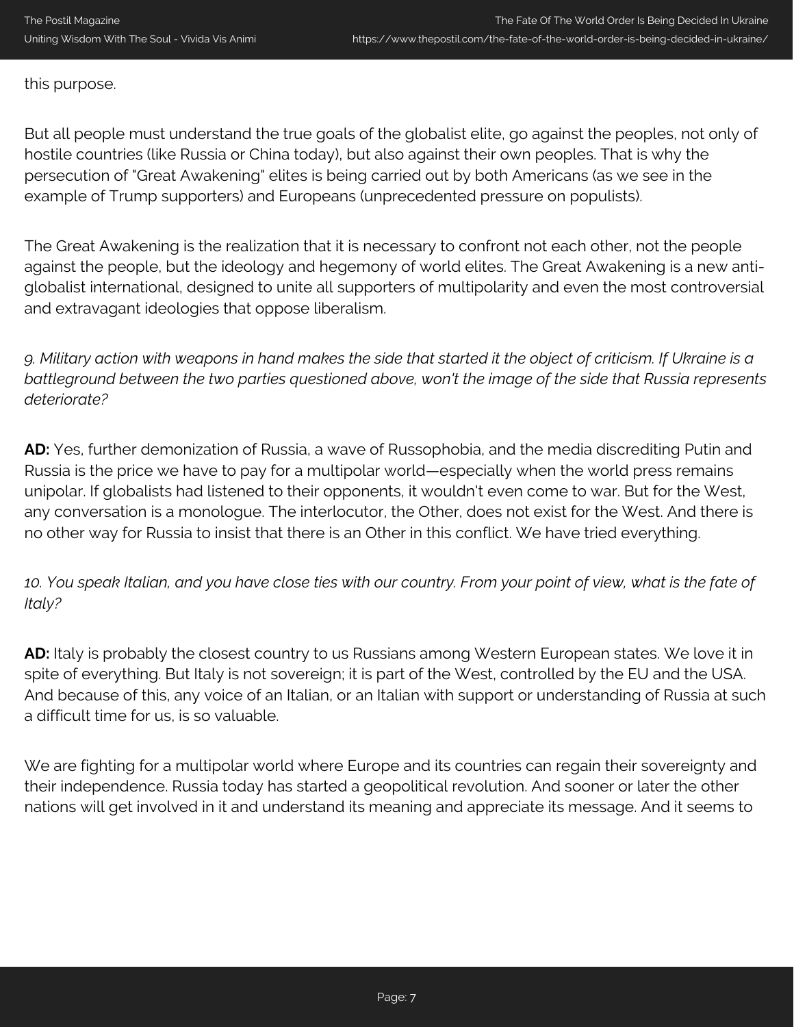this purpose.

But all people must understand the true goals of the globalist elite, go against the peoples, not only of hostile countries (like Russia or China today), but also against their own peoples. That is why the persecution of "Great Awakening" elites is being carried out by both Americans (as we see in the example of Trump supporters) and Europeans (unprecedented pressure on populists).

The Great Awakening is the realization that it is necessary to confront not each other, not the people against the people, but the ideology and hegemony of world elites. The Great Awakening is a new antiglobalist international, designed to unite all supporters of multipolarity and even the most controversial and extravagant ideologies that oppose liberalism.

*9. Military action with weapons in hand makes the side that started it the object of criticism. If Ukraine is a battleground between the two parties questioned above, won't the image of the side that Russia represents deteriorate?*

**AD:** Yes, further demonization of Russia, a wave of Russophobia, and the media discrediting Putin and Russia is the price we have to pay for a multipolar world—especially when the world press remains unipolar. If globalists had listened to their opponents, it wouldn't even come to war. But for the West, any conversation is a monologue. The interlocutor, the Other, does not exist for the West. And there is no other way for Russia to insist that there is an Other in this conflict. We have tried everything.

*10. You speak Italian, and you have close ties with our country. From your point of view, what is the fate of Italy?*

**AD:** Italy is probably the closest country to us Russians among Western European states. We love it in spite of everything. But Italy is not sovereign; it is part of the West, controlled by the EU and the USA. And because of this, any voice of an Italian, or an Italian with support or understanding of Russia at such a difficult time for us, is so valuable.

We are fighting for a multipolar world where Europe and its countries can regain their sovereignty and their independence. Russia today has started a geopolitical revolution. And sooner or later the other nations will get involved in it and understand its meaning and appreciate its message. And it seems to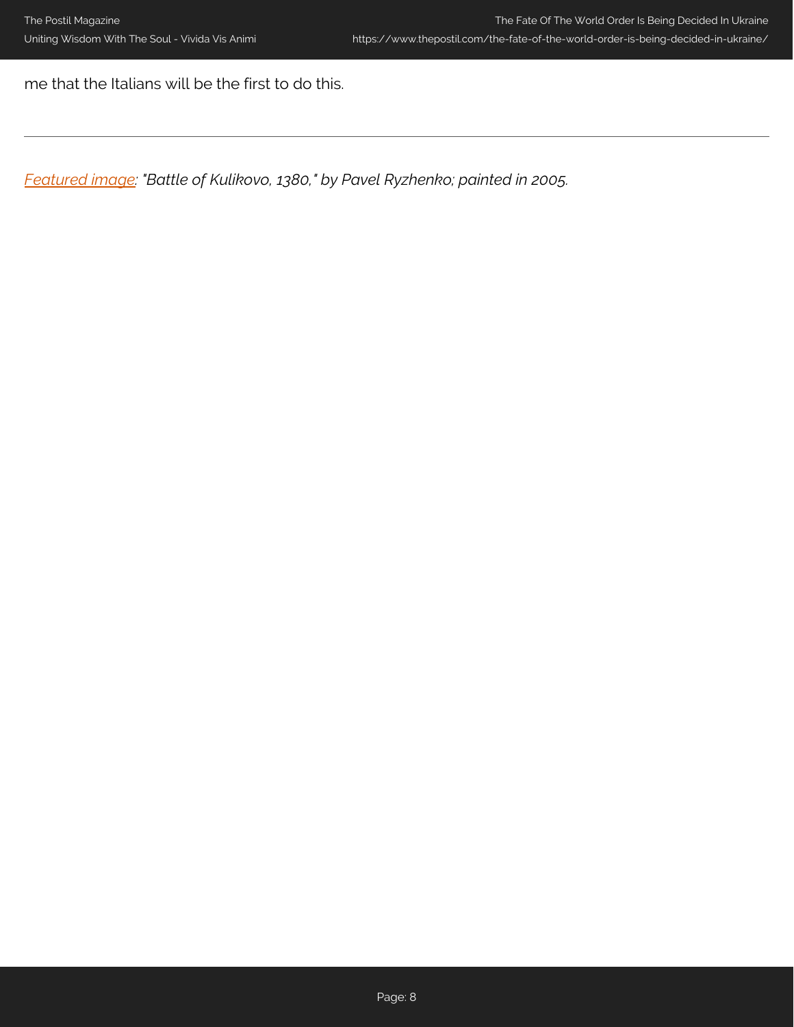me that the Italians will be the first to do this.

*[Featured image](https://www.reddit.com/r/BattlePaintings/comments/s3vuck/battle_of_kulikovo_1380_painting_by_pavel/): "Battle of Kulikovo, 1380," by Pavel Ryzhenko; painted in 2005.*